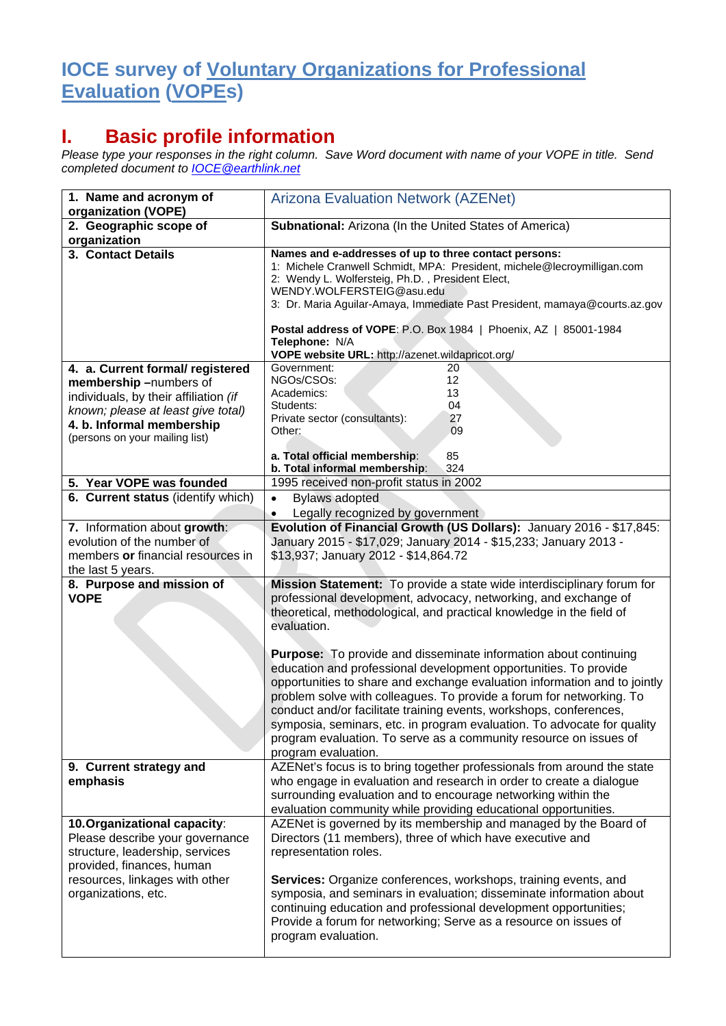## **IOCE survey of Voluntary Organizations for Professional Evaluation (VOPEs)**

## **I. Basic profile information**

*Please type your responses in the right column. Save Word document with name of your VOPE in title. Send completed document to [IOCE@earthlink.net](mailto:IOCE@earthlink.net)*

| 1. Name and acronym of<br>organization (VOPE)                                                                                   | <b>Arizona Evaluation Network (AZENet)</b>                                                                                                                                                                                                                                                                                                                                                                                                                                                                                                    |
|---------------------------------------------------------------------------------------------------------------------------------|-----------------------------------------------------------------------------------------------------------------------------------------------------------------------------------------------------------------------------------------------------------------------------------------------------------------------------------------------------------------------------------------------------------------------------------------------------------------------------------------------------------------------------------------------|
| 2. Geographic scope of<br>organization                                                                                          | Subnational: Arizona (In the United States of America)                                                                                                                                                                                                                                                                                                                                                                                                                                                                                        |
| 3. Contact Details                                                                                                              | Names and e-addresses of up to three contact persons:<br>1: Michele Cranwell Schmidt, MPA: President, michele@lecroymilligan.com<br>2: Wendy L. Wolfersteig, Ph.D., President Elect,<br>WENDY.WOLFERSTEIG@asu.edu<br>3: Dr. Maria Aguilar-Amaya, Immediate Past President, mamaya@courts.az.gov<br>Postal address of VOPE: P.O. Box 1984   Phoenix, AZ   85001-1984<br>Telephone: N/A<br>VOPE website URL: http://azenet.wildapricot.org/                                                                                                     |
| 4. a. Current formal/ registered                                                                                                | Government:<br>20                                                                                                                                                                                                                                                                                                                                                                                                                                                                                                                             |
| membership-numbers of<br>individuals, by their affiliation (if                                                                  | 12<br>NGOs/CSOs:<br>13<br>Academics:                                                                                                                                                                                                                                                                                                                                                                                                                                                                                                          |
| known; please at least give total)                                                                                              | 04<br>Students:                                                                                                                                                                                                                                                                                                                                                                                                                                                                                                                               |
| 4. b. Informal membership                                                                                                       | Private sector (consultants):<br>27<br>09<br>Other:                                                                                                                                                                                                                                                                                                                                                                                                                                                                                           |
| (persons on your mailing list)                                                                                                  |                                                                                                                                                                                                                                                                                                                                                                                                                                                                                                                                               |
|                                                                                                                                 | a. Total official membership:<br>85<br>b. Total informal membership:<br>324                                                                                                                                                                                                                                                                                                                                                                                                                                                                   |
| 5. Year VOPE was founded                                                                                                        | 1995 received non-profit status in 2002                                                                                                                                                                                                                                                                                                                                                                                                                                                                                                       |
| 6. Current status (identify which)                                                                                              | <b>Bylaws adopted</b><br>$\bullet$                                                                                                                                                                                                                                                                                                                                                                                                                                                                                                            |
|                                                                                                                                 | Legally recognized by government                                                                                                                                                                                                                                                                                                                                                                                                                                                                                                              |
| 7. Information about growth:                                                                                                    | Evolution of Financial Growth (US Dollars): January 2016 - \$17,845:                                                                                                                                                                                                                                                                                                                                                                                                                                                                          |
| evolution of the number of<br>members or financial resources in                                                                 | January 2015 - \$17,029; January 2014 - \$15,233; January 2013 -                                                                                                                                                                                                                                                                                                                                                                                                                                                                              |
| the last 5 years.                                                                                                               | \$13,937; January 2012 - \$14,864.72                                                                                                                                                                                                                                                                                                                                                                                                                                                                                                          |
| 8. Purpose and mission of                                                                                                       | Mission Statement: To provide a state wide interdisciplinary forum for                                                                                                                                                                                                                                                                                                                                                                                                                                                                        |
| <b>VOPE</b>                                                                                                                     | professional development, advocacy, networking, and exchange of<br>theoretical, methodological, and practical knowledge in the field of<br>evaluation.                                                                                                                                                                                                                                                                                                                                                                                        |
|                                                                                                                                 | <b>Purpose:</b> To provide and disseminate information about continuing<br>education and professional development opportunities. To provide<br>opportunities to share and exchange evaluation information and to jointly<br>problem solve with colleagues. To provide a forum for networking. To<br>conduct and/or facilitate training events, workshops, conferences,<br>symposia, seminars, etc. in program evaluation. To advocate for quality<br>program evaluation. To serve as a community resource on issues of<br>program evaluation. |
| 9. Current strategy and<br>emphasis                                                                                             | AZENet's focus is to bring together professionals from around the state<br>who engage in evaluation and research in order to create a dialogue<br>surrounding evaluation and to encourage networking within the<br>evaluation community while providing educational opportunities.                                                                                                                                                                                                                                                            |
| 10. Organizational capacity:<br>Please describe your governance<br>structure, leadership, services<br>provided, finances, human | AZENet is governed by its membership and managed by the Board of<br>Directors (11 members), three of which have executive and<br>representation roles.                                                                                                                                                                                                                                                                                                                                                                                        |
| resources, linkages with other<br>organizations, etc.                                                                           | Services: Organize conferences, workshops, training events, and<br>symposia, and seminars in evaluation; disseminate information about<br>continuing education and professional development opportunities;<br>Provide a forum for networking; Serve as a resource on issues of<br>program evaluation.                                                                                                                                                                                                                                         |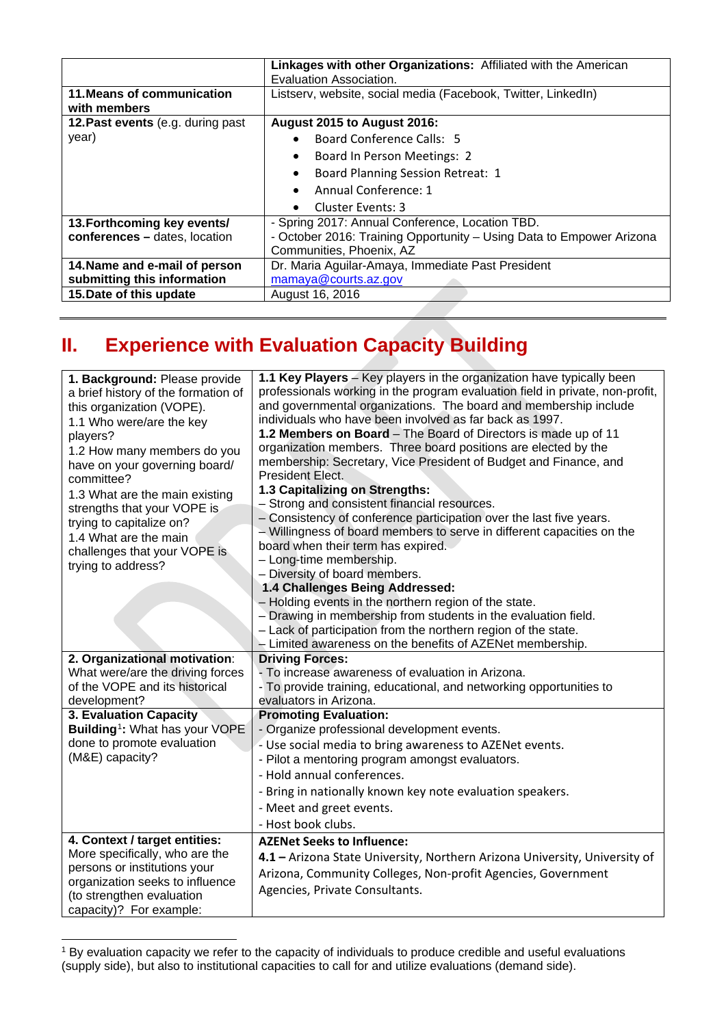|                                            | Linkages with other Organizations: Affiliated with the American      |
|--------------------------------------------|----------------------------------------------------------------------|
|                                            | Evaluation Association.                                              |
| 11. Means of communication<br>with members | Listserv, website, social media (Facebook, Twitter, LinkedIn)        |
|                                            |                                                                      |
| 12. Past events (e.g. during past          | August 2015 to August 2016:                                          |
| year)                                      | Board Conference Calls: 5                                            |
|                                            | Board In Person Meetings: 2<br>٠                                     |
|                                            | Board Planning Session Retreat: 1                                    |
|                                            | Annual Conference: 1                                                 |
|                                            | Cluster Events: 3                                                    |
| 13. Forthcoming key events/                | - Spring 2017: Annual Conference, Location TBD.                      |
| conferences - dates, location              | - October 2016: Training Opportunity - Using Data to Empower Arizona |
|                                            | Communities, Phoenix, AZ                                             |
| 14. Name and e-mail of person              | Dr. Maria Aguilar-Amaya, Immediate Past President                    |
| submitting this information                | mamaya@courts.az.gov                                                 |
| 15. Date of this update                    | August 16, 2016                                                      |

## **II. Experience with Evaluation Capacity Building**

| 1. Background: Please provide<br>a brief history of the formation of<br>this organization (VOPE).<br>1.1 Who were/are the key<br>players?<br>1.2 How many members do you<br>have on your governing board/<br>committee?<br>1.3 What are the main existing<br>strengths that your VOPE is<br>trying to capitalize on?<br>1.4 What are the main<br>challenges that your VOPE is<br>trying to address? | 1.1 Key Players - Key players in the organization have typically been<br>professionals working in the program evaluation field in private, non-profit,<br>and governmental organizations. The board and membership include<br>individuals who have been involved as far back as 1997.<br>1.2 Members on Board – The Board of Directors is made up of 11<br>organization members. Three board positions are elected by the<br>membership: Secretary, Vice President of Budget and Finance, and<br>President Elect.<br>1.3 Capitalizing on Strengths:<br>- Strong and consistent financial resources.<br>- Consistency of conference participation over the last five years.<br>- Willingness of board members to serve in different capacities on the<br>board when their term has expired.<br>- Long-time membership.<br>- Diversity of board members.<br>1.4 Challenges Being Addressed:<br>- Holding events in the northern region of the state.<br>- Drawing in membership from students in the evaluation field.<br>- Lack of participation from the northern region of the state.<br>- Limited awareness on the benefits of AZENet membership. |
|-----------------------------------------------------------------------------------------------------------------------------------------------------------------------------------------------------------------------------------------------------------------------------------------------------------------------------------------------------------------------------------------------------|-----------------------------------------------------------------------------------------------------------------------------------------------------------------------------------------------------------------------------------------------------------------------------------------------------------------------------------------------------------------------------------------------------------------------------------------------------------------------------------------------------------------------------------------------------------------------------------------------------------------------------------------------------------------------------------------------------------------------------------------------------------------------------------------------------------------------------------------------------------------------------------------------------------------------------------------------------------------------------------------------------------------------------------------------------------------------------------------------------------------------------------------------------|
| 2. Organizational motivation:<br>What were/are the driving forces                                                                                                                                                                                                                                                                                                                                   | <b>Driving Forces:</b><br>- To increase awareness of evaluation in Arizona.                                                                                                                                                                                                                                                                                                                                                                                                                                                                                                                                                                                                                                                                                                                                                                                                                                                                                                                                                                                                                                                                         |
| of the VOPE and its historical                                                                                                                                                                                                                                                                                                                                                                      | - To provide training, educational, and networking opportunities to                                                                                                                                                                                                                                                                                                                                                                                                                                                                                                                                                                                                                                                                                                                                                                                                                                                                                                                                                                                                                                                                                 |
| development?                                                                                                                                                                                                                                                                                                                                                                                        | evaluators in Arizona.                                                                                                                                                                                                                                                                                                                                                                                                                                                                                                                                                                                                                                                                                                                                                                                                                                                                                                                                                                                                                                                                                                                              |
| 3. Evaluation Capacity                                                                                                                                                                                                                                                                                                                                                                              | <b>Promoting Evaluation:</b>                                                                                                                                                                                                                                                                                                                                                                                                                                                                                                                                                                                                                                                                                                                                                                                                                                                                                                                                                                                                                                                                                                                        |
| Building <sup>1</sup> : What has your VOPE<br>done to promote evaluation                                                                                                                                                                                                                                                                                                                            | - Organize professional development events.                                                                                                                                                                                                                                                                                                                                                                                                                                                                                                                                                                                                                                                                                                                                                                                                                                                                                                                                                                                                                                                                                                         |
| (M&E) capacity?                                                                                                                                                                                                                                                                                                                                                                                     | - Use social media to bring awareness to AZENet events.                                                                                                                                                                                                                                                                                                                                                                                                                                                                                                                                                                                                                                                                                                                                                                                                                                                                                                                                                                                                                                                                                             |
|                                                                                                                                                                                                                                                                                                                                                                                                     | - Pilot a mentoring program amongst evaluators.<br>- Hold annual conferences.                                                                                                                                                                                                                                                                                                                                                                                                                                                                                                                                                                                                                                                                                                                                                                                                                                                                                                                                                                                                                                                                       |
|                                                                                                                                                                                                                                                                                                                                                                                                     |                                                                                                                                                                                                                                                                                                                                                                                                                                                                                                                                                                                                                                                                                                                                                                                                                                                                                                                                                                                                                                                                                                                                                     |
|                                                                                                                                                                                                                                                                                                                                                                                                     | - Bring in nationally known key note evaluation speakers.                                                                                                                                                                                                                                                                                                                                                                                                                                                                                                                                                                                                                                                                                                                                                                                                                                                                                                                                                                                                                                                                                           |
|                                                                                                                                                                                                                                                                                                                                                                                                     | - Meet and greet events.                                                                                                                                                                                                                                                                                                                                                                                                                                                                                                                                                                                                                                                                                                                                                                                                                                                                                                                                                                                                                                                                                                                            |
|                                                                                                                                                                                                                                                                                                                                                                                                     | - Host book clubs.                                                                                                                                                                                                                                                                                                                                                                                                                                                                                                                                                                                                                                                                                                                                                                                                                                                                                                                                                                                                                                                                                                                                  |
| 4. Context / target entities:<br>More specifically, who are the                                                                                                                                                                                                                                                                                                                                     | <b>AZENet Seeks to Influence:</b>                                                                                                                                                                                                                                                                                                                                                                                                                                                                                                                                                                                                                                                                                                                                                                                                                                                                                                                                                                                                                                                                                                                   |
| persons or institutions your                                                                                                                                                                                                                                                                                                                                                                        | 4.1 - Arizona State University, Northern Arizona University, University of                                                                                                                                                                                                                                                                                                                                                                                                                                                                                                                                                                                                                                                                                                                                                                                                                                                                                                                                                                                                                                                                          |
| organization seeks to influence                                                                                                                                                                                                                                                                                                                                                                     | Arizona, Community Colleges, Non-profit Agencies, Government                                                                                                                                                                                                                                                                                                                                                                                                                                                                                                                                                                                                                                                                                                                                                                                                                                                                                                                                                                                                                                                                                        |
| (to strengthen evaluation                                                                                                                                                                                                                                                                                                                                                                           | Agencies, Private Consultants.                                                                                                                                                                                                                                                                                                                                                                                                                                                                                                                                                                                                                                                                                                                                                                                                                                                                                                                                                                                                                                                                                                                      |
| capacity)? For example:                                                                                                                                                                                                                                                                                                                                                                             |                                                                                                                                                                                                                                                                                                                                                                                                                                                                                                                                                                                                                                                                                                                                                                                                                                                                                                                                                                                                                                                                                                                                                     |

<span id="page-1-0"></span><sup>1</sup> By evaluation capacity we refer to the capacity of individuals to produce credible and useful evaluations (supply side), but also to institutional capacities to call for and utilize evaluations (demand side).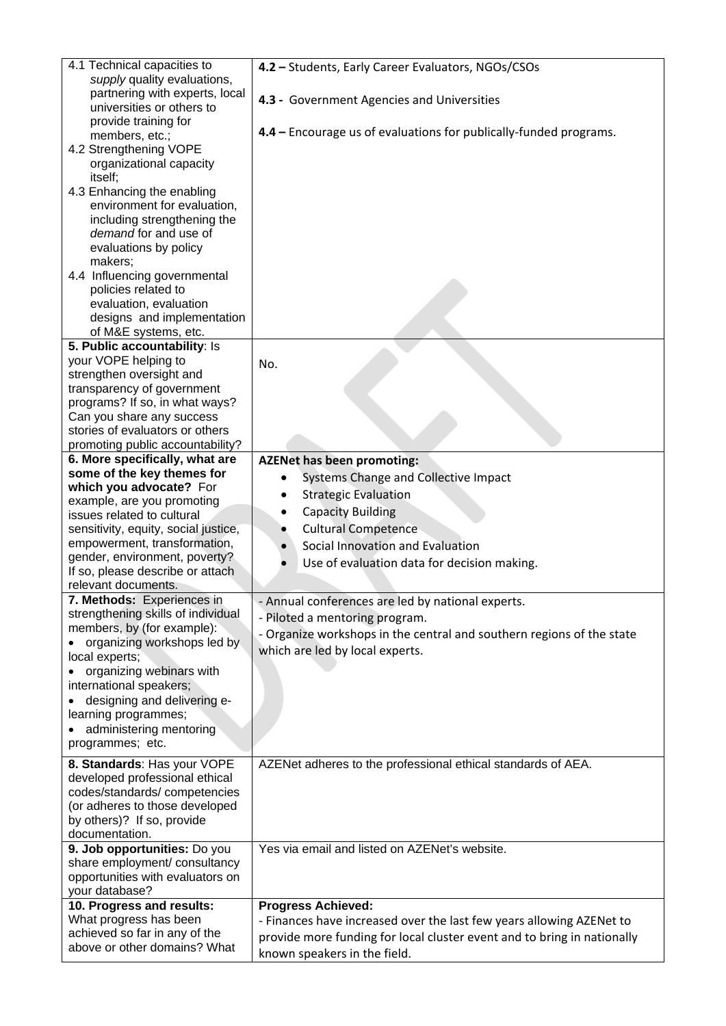| 4.1 Technical capacities to<br>supply quality evaluations,<br>partnering with experts, local<br>universities or others to<br>provide training for<br>members, etc.;<br>4.2 Strengthening VOPE<br>organizational capacity                                                                                | 4.2 - Students, Early Career Evaluators, NGOs/CSOs<br>4.3 - Government Agencies and Universities<br>4.4 - Encourage us of evaluations for publically-funded programs. |
|---------------------------------------------------------------------------------------------------------------------------------------------------------------------------------------------------------------------------------------------------------------------------------------------------------|-----------------------------------------------------------------------------------------------------------------------------------------------------------------------|
| itself;<br>4.3 Enhancing the enabling<br>environment for evaluation,<br>including strengthening the<br>demand for and use of<br>evaluations by policy<br>makers;<br>4.4 Influencing governmental<br>policies related to<br>evaluation, evaluation<br>designs and implementation<br>of M&E systems, etc. |                                                                                                                                                                       |
| 5. Public accountability: Is                                                                                                                                                                                                                                                                            |                                                                                                                                                                       |
| your VOPE helping to<br>strengthen oversight and                                                                                                                                                                                                                                                        | No.                                                                                                                                                                   |
| transparency of government                                                                                                                                                                                                                                                                              |                                                                                                                                                                       |
| programs? If so, in what ways?                                                                                                                                                                                                                                                                          |                                                                                                                                                                       |
| Can you share any success<br>stories of evaluators or others                                                                                                                                                                                                                                            |                                                                                                                                                                       |
| promoting public accountability?                                                                                                                                                                                                                                                                        |                                                                                                                                                                       |
| 6. More specifically, what are                                                                                                                                                                                                                                                                          | <b>AZENet has been promoting:</b>                                                                                                                                     |
| some of the key themes for                                                                                                                                                                                                                                                                              | Systems Change and Collective Impact                                                                                                                                  |
| which you advocate? For<br>example, are you promoting                                                                                                                                                                                                                                                   | <b>Strategic Evaluation</b><br>٠                                                                                                                                      |
| issues related to cultural                                                                                                                                                                                                                                                                              | <b>Capacity Building</b>                                                                                                                                              |
| sensitivity, equity, social justice,                                                                                                                                                                                                                                                                    | <b>Cultural Competence</b>                                                                                                                                            |
| empowerment, transformation,                                                                                                                                                                                                                                                                            | Social Innovation and Evaluation                                                                                                                                      |
| gender, environment, poverty?                                                                                                                                                                                                                                                                           | Use of evaluation data for decision making.                                                                                                                           |
| If so, please describe or attach<br>relevant documents.                                                                                                                                                                                                                                                 |                                                                                                                                                                       |
| <b>7. Methods: Experiences in</b>                                                                                                                                                                                                                                                                       | Annual conferences are led by national experts.                                                                                                                       |
| strengthening skills of individual                                                                                                                                                                                                                                                                      | - Piloted a mentoring program.                                                                                                                                        |
| members, by (for example):                                                                                                                                                                                                                                                                              | - Organize workshops in the central and southern regions of the state                                                                                                 |
| organizing workshops led by                                                                                                                                                                                                                                                                             | which are led by local experts.                                                                                                                                       |
| local experts;                                                                                                                                                                                                                                                                                          |                                                                                                                                                                       |
| organizing webinars with<br>international speakers;                                                                                                                                                                                                                                                     |                                                                                                                                                                       |
| designing and delivering e-                                                                                                                                                                                                                                                                             |                                                                                                                                                                       |
| learning programmes;                                                                                                                                                                                                                                                                                    |                                                                                                                                                                       |
| administering mentoring                                                                                                                                                                                                                                                                                 |                                                                                                                                                                       |
| programmes; etc.                                                                                                                                                                                                                                                                                        |                                                                                                                                                                       |
| 8. Standards: Has your VOPE                                                                                                                                                                                                                                                                             | AZENet adheres to the professional ethical standards of AEA.                                                                                                          |
| developed professional ethical                                                                                                                                                                                                                                                                          |                                                                                                                                                                       |
| codes/standards/competencies                                                                                                                                                                                                                                                                            |                                                                                                                                                                       |
| (or adheres to those developed<br>by others)? If so, provide                                                                                                                                                                                                                                            |                                                                                                                                                                       |
| documentation.                                                                                                                                                                                                                                                                                          |                                                                                                                                                                       |
| 9. Job opportunities: Do you                                                                                                                                                                                                                                                                            | Yes via email and listed on AZENet's website.                                                                                                                         |
| share employment/ consultancy                                                                                                                                                                                                                                                                           |                                                                                                                                                                       |
| opportunities with evaluators on                                                                                                                                                                                                                                                                        |                                                                                                                                                                       |
| your database?                                                                                                                                                                                                                                                                                          |                                                                                                                                                                       |
| 10. Progress and results:<br>What progress has been                                                                                                                                                                                                                                                     | <b>Progress Achieved:</b>                                                                                                                                             |
| achieved so far in any of the                                                                                                                                                                                                                                                                           | - Finances have increased over the last few years allowing AZENet to                                                                                                  |
| above or other domains? What                                                                                                                                                                                                                                                                            | provide more funding for local cluster event and to bring in nationally<br>known speakers in the field.                                                               |
|                                                                                                                                                                                                                                                                                                         |                                                                                                                                                                       |